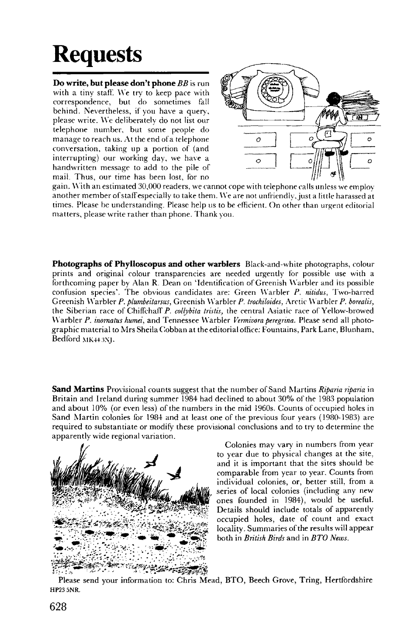## **Requests**

**Do write, but please don't phone** *BB* is run with a tiny staff. We try to keep pace with correspondence, but do sometimes fall behind. Nevertheless, if you have a query, please write. We deliberately do not list our telephone number, but some people do manage to reach us. At the end of a telephone conversation, taking up a portion of (and interrupting) our working day, we have a handwritten message to add to the pile of **mail.** Thus, our time has been lost, for no



gain. With an estimated 30,000 readers, we cannot cope with telephone calls unless we employ another member of staff especially to take them. We are not unfriendly, just a little harassed at times. Please be understanding. Please help us to be efficient. On other than urgent editorial matters, please write rather than phone. Thank you.

**Photographs of Phylloscopus and other warblers** Black-and-white photographs, colour prints and original colour transparencies are needed urgently for possible use with a forthcoming paper by Alan R. Dean on 'Identification of Greenish Warbler and its possible confusion species\*. The obvious candidates are: Green Warbler *P. nitidus,* Two-barred Greenish Warbler P. plumbeitarsus, Greenish Warbler P. trochiloides, Arctic Warbler P. borealis, the Siberian race of Chiffchaff *P. coUybita tristis,* the central Asiatic race of Yellow-browed Warbler *P. inomatus humei,* and Tennessee Warbler *Vermivoraperegrina.* Please send ail photographic material to Mrs Sheila Gobban at the editorial office: Fountains, Park Lane, Blunham, Bedford MK4+SNJ.

**Sand Martins** Provisional counts suggest that the number of Sand Martins *Riparia riparia* in Britain and Ireland during summer 1984 had declined to about 30% of the 1983 population and about 10% (or even less) of the numbers in the mid 1960s. Counts of occupied holes in Sand Martin colonies for 1984 and at least one of the previous four years (1980-1983) are required to substantiate or modify these provisional conclusions and to try to determine the apparently wide regional variation.



Colonies may vary in numbers from year to year due to physical changes at the site, and it is important that the sites should be comparable from year to year. Counts from individual colonies, or, better still, from a series of local colonies (including any new ones founded in 1984), would be useful. Details should include totals of apparently occupied holes, date of count and exact locality. Summaries of the results will appear both in *British Birds* and in *BTO News.* 

Please send your information to: Chris Mead, BTO, Beech Grove, Tring, Hertfordshire HP23 5NR.